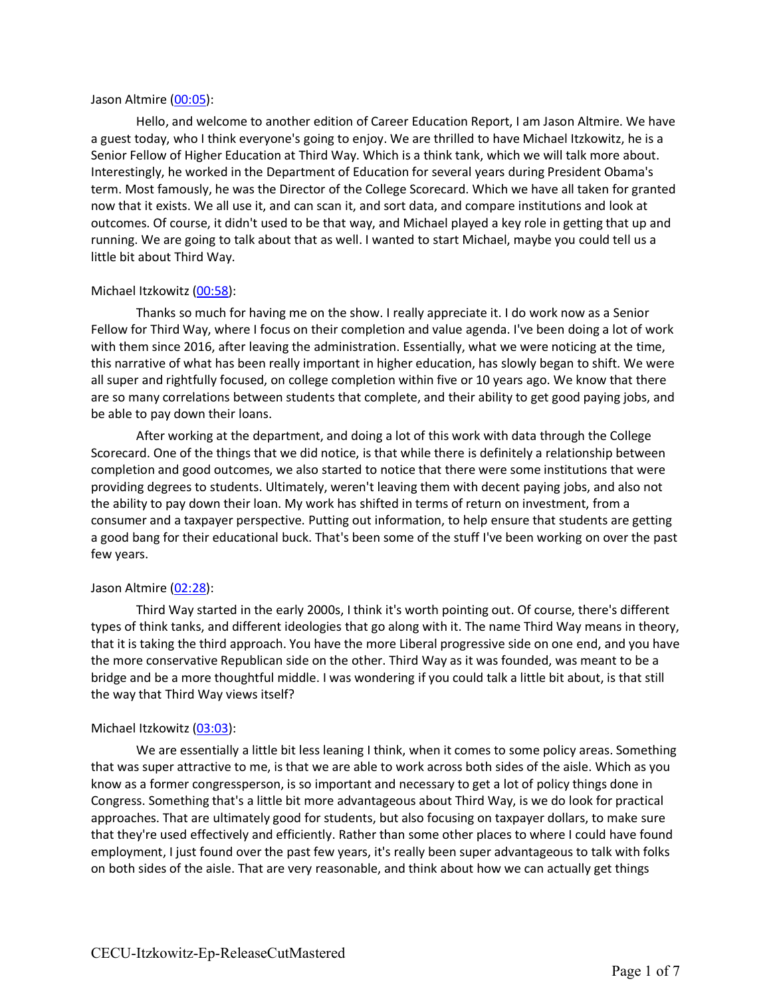#### Jason Altmire (00:05):

Hello, and welcome to another edition of Career Education Report, I am Jason Altmire. We have a guest today, who I think everyone's going to enjoy. We are thrilled to have Michael Itzkowitz, he is a Senior Fellow of Higher Education at Third Way. Which is a think tank, which we will talk more about. Interestingly, he worked in the Department of Education for several years during President Obama's term. Most famously, he was the Director of the College Scorecard. Which we have all taken for granted now that it exists. We all use it, and can scan it, and sort data, and compare institutions and look at outcomes. Of course, it didn't used to be that way, and Michael played a key role in getting that up and running. We are going to talk about that as well. I wanted to start Michael, maybe you could tell us a little bit about Third Way.

## Michael Itzkowitz (00:58):

Thanks so much for having me on the show. I really appreciate it. I do work now as a Senior Fellow for Third Way, where I focus on their completion and value agenda. I've been doing a lot of work with them since 2016, after leaving the administration. Essentially, what we were noticing at the time, this narrative of what has been really important in higher education, has slowly began to shift. We were all super and rightfully focused, on college completion within five or 10 years ago. We know that there are so many correlations between students that complete, and their ability to get good paying jobs, and be able to pay down their loans.

After working at the department, and doing a lot of this work with data through the College Scorecard. One of the things that we did notice, is that while there is definitely a relationship between completion and good outcomes, we also started to notice that there were some institutions that were providing degrees to students. Ultimately, weren't leaving them with decent paying jobs, and also not the ability to pay down their loan. My work has shifted in terms of return on investment, from a consumer and a taxpayer perspective. Putting out information, to help ensure that students are getting a good bang for their educational buck. That's been some of the stuff I've been working on over the past few years.

#### Jason Altmire (02:28):

Third Way started in the early 2000s, I think it's worth pointing out. Of course, there's different types of think tanks, and different ideologies that go along with it. The name Third Way means in theory, that it is taking the third approach. You have the more Liberal progressive side on one end, and you have the more conservative Republican side on the other. Third Way as it was founded, was meant to be a bridge and be a more thoughtful middle. I was wondering if you could talk a little bit about, is that still the way that Third Way views itself?

# Michael Itzkowitz (03:03):

We are essentially a little bit less leaning I think, when it comes to some policy areas. Something that was super attractive to me, is that we are able to work across both sides of the aisle. Which as you know as a former congressperson, is so important and necessary to get a lot of policy things done in Congress. Something that's a little bit more advantageous about Third Way, is we do look for practical approaches. That are ultimately good for students, but also focusing on taxpayer dollars, to make sure that they're used effectively and efficiently. Rather than some other places to where I could have found employment, I just found over the past few years, it's really been super advantageous to talk with folks on both sides of the aisle. That are very reasonable, and think about how we can actually get things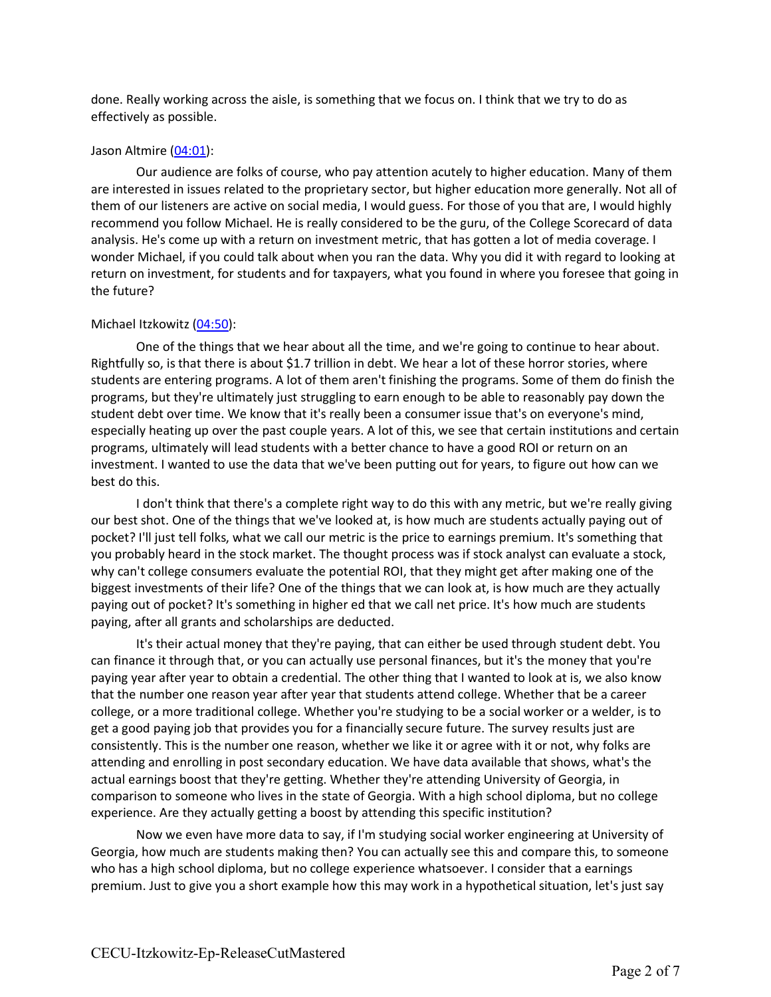done. Really working across the aisle, is something that we focus on. I think that we try to do as effectively as possible.

### Jason Altmire (04:01):

Our audience are folks of course, who pay attention acutely to higher education. Many of them are interested in issues related to the proprietary sector, but higher education more generally. Not all of them of our listeners are active on social media, I would guess. For those of you that are, I would highly recommend you follow Michael. He is really considered to be the guru, of the College Scorecard of data analysis. He's come up with a return on investment metric, that has gotten a lot of media coverage. I wonder Michael, if you could talk about when you ran the data. Why you did it with regard to looking at return on investment, for students and for taxpayers, what you found in where you foresee that going in the future?

# Michael Itzkowitz (04:50):

One of the things that we hear about all the time, and we're going to continue to hear about. Rightfully so, is that there is about \$1.7 trillion in debt. We hear a lot of these horror stories, where students are entering programs. A lot of them aren't finishing the programs. Some of them do finish the programs, but they're ultimately just struggling to earn enough to be able to reasonably pay down the student debt over time. We know that it's really been a consumer issue that's on everyone's mind, especially heating up over the past couple years. A lot of this, we see that certain institutions and certain programs, ultimately will lead students with a better chance to have a good ROI or return on an investment. I wanted to use the data that we've been putting out for years, to figure out how can we best do this.

I don't think that there's a complete right way to do this with any metric, but we're really giving our best shot. One of the things that we've looked at, is how much are students actually paying out of pocket? I'll just tell folks, what we call our metric is the price to earnings premium. It's something that you probably heard in the stock market. The thought process was if stock analyst can evaluate a stock, why can't college consumers evaluate the potential ROI, that they might get after making one of the biggest investments of their life? One of the things that we can look at, is how much are they actually paying out of pocket? It's something in higher ed that we call net price. It's how much are students paying, after all grants and scholarships are deducted.

It's their actual money that they're paying, that can either be used through student debt. You can finance it through that, or you can actually use personal finances, but it's the money that you're paying year after year to obtain a credential. The other thing that I wanted to look at is, we also know that the number one reason year after year that students attend college. Whether that be a career college, or a more traditional college. Whether you're studying to be a social worker or a welder, is to get a good paying job that provides you for a financially secure future. The survey results just are consistently. This is the number one reason, whether we like it or agree with it or not, why folks are attending and enrolling in post secondary education. We have data available that shows, what's the actual earnings boost that they're getting. Whether they're attending University of Georgia, in comparison to someone who lives in the state of Georgia. With a high school diploma, but no college experience. Are they actually getting a boost by attending this specific institution?

Now we even have more data to say, if I'm studying social worker engineering at University of Georgia, how much are students making then? You can actually see this and compare this, to someone who has a high school diploma, but no college experience whatsoever. I consider that a earnings premium. Just to give you a short example how this may work in a hypothetical situation, let's just say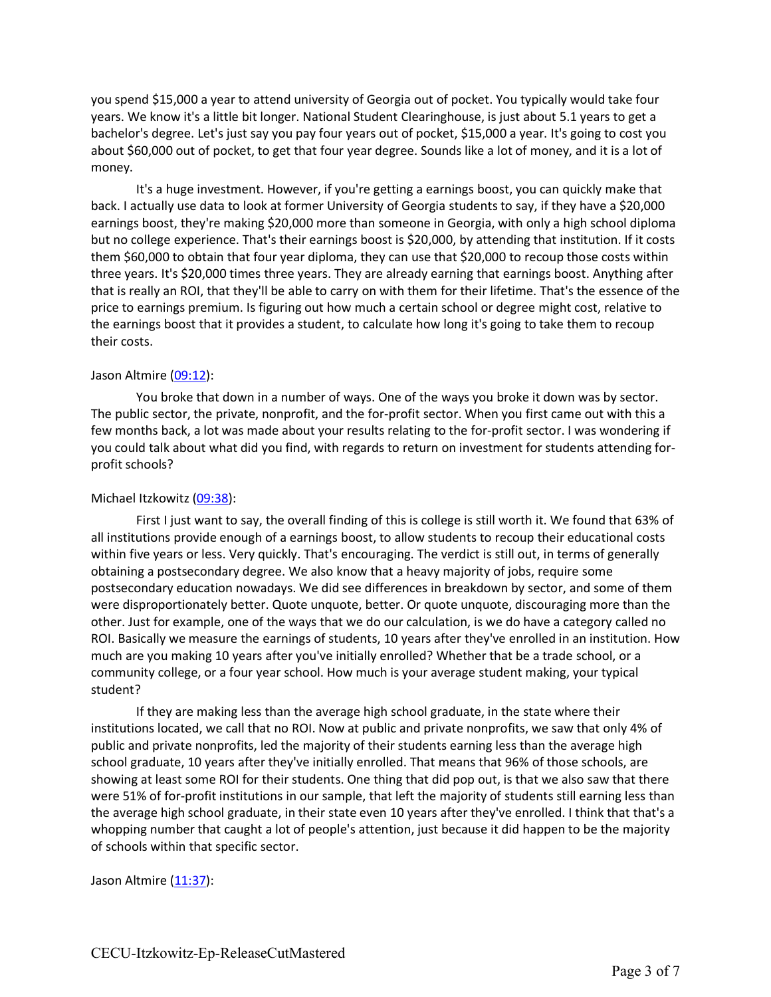you spend \$15,000 a year to attend university of Georgia out of pocket. You typically would take four years. We know it's a little bit longer. National Student Clearinghouse, is just about 5.1 years to get a bachelor's degree. Let's just say you pay four years out of pocket, \$15,000 a year. It's going to cost you about \$60,000 out of pocket, to get that four year degree. Sounds like a lot of money, and it is a lot of money.

It's a huge investment. However, if you're getting a earnings boost, you can quickly make that back. I actually use data to look at former University of Georgia students to say, if they have a \$20,000 earnings boost, they're making \$20,000 more than someone in Georgia, with only a high school diploma but no college experience. That's their earnings boost is \$20,000, by attending that institution. If it costs them \$60,000 to obtain that four year diploma, they can use that \$20,000 to recoup those costs within three years. It's \$20,000 times three years. They are already earning that earnings boost. Anything after that is really an ROI, that they'll be able to carry on with them for their lifetime. That's the essence of the price to earnings premium. Is figuring out how much a certain school or degree might cost, relative to the earnings boost that it provides a student, to calculate how long it's going to take them to recoup their costs.

## Jason Altmire (09:12):

You broke that down in a number of ways. One of the ways you broke it down was by sector. The public sector, the private, nonprofit, and the for-profit sector. When you first came out with this a few months back, a lot was made about your results relating to the for-profit sector. I was wondering if you could talk about what did you find, with regards to return on investment for students attending forprofit schools?

### Michael Itzkowitz (09:38):

First I just want to say, the overall finding of this is college is still worth it. We found that 63% of all institutions provide enough of a earnings boost, to allow students to recoup their educational costs within five years or less. Very quickly. That's encouraging. The verdict is still out, in terms of generally obtaining a postsecondary degree. We also know that a heavy majority of jobs, require some postsecondary education nowadays. We did see differences in breakdown by sector, and some of them were disproportionately better. Quote unquote, better. Or quote unquote, discouraging more than the other. Just for example, one of the ways that we do our calculation, is we do have a category called no ROI. Basically we measure the earnings of students, 10 years after they've enrolled in an institution. How much are you making 10 years after you've initially enrolled? Whether that be a trade school, or a community college, or a four year school. How much is your average student making, your typical student?

If they are making less than the average high school graduate, in the state where their institutions located, we call that no ROI. Now at public and private nonprofits, we saw that only 4% of public and private nonprofits, led the majority of their students earning less than the average high school graduate, 10 years after they've initially enrolled. That means that 96% of those schools, are showing at least some ROI for their students. One thing that did pop out, is that we also saw that there were 51% of for-profit institutions in our sample, that left the majority of students still earning less than the average high school graduate, in their state even 10 years after they've enrolled. I think that that's a whopping number that caught a lot of people's attention, just because it did happen to be the majority of schools within that specific sector.

#### Jason Altmire (11:37):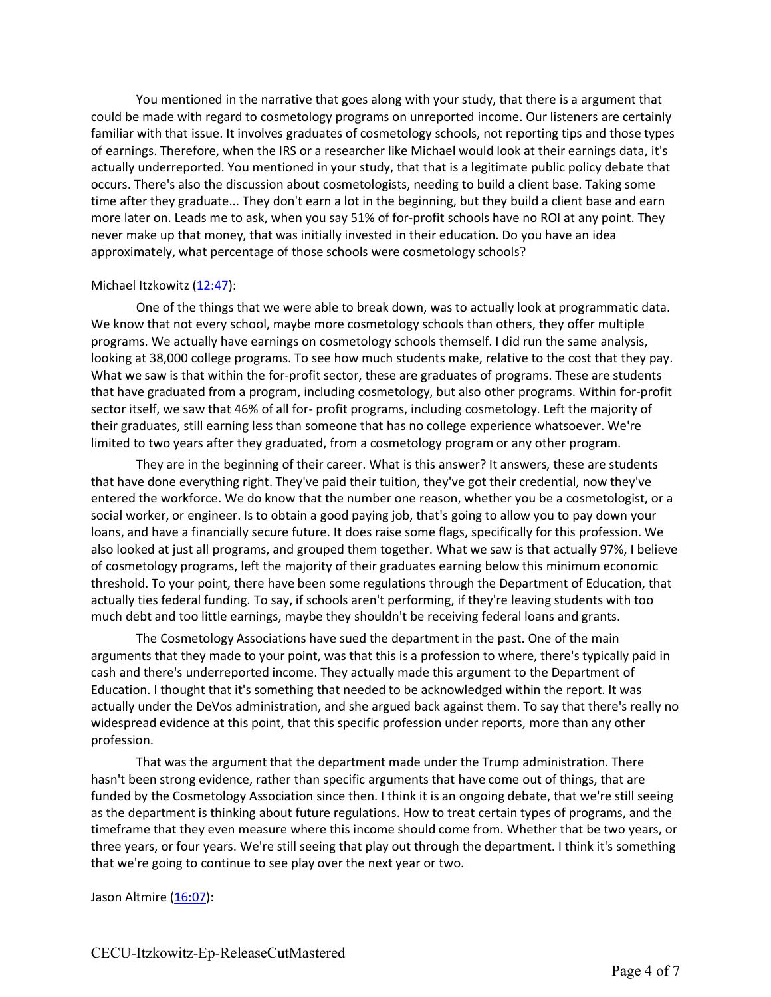You mentioned in the narrative that goes along with your study, that there is a argument that could be made with regard to cosmetology programs on unreported income. Our listeners are certainly familiar with that issue. It involves graduates of cosmetology schools, not reporting tips and those types of earnings. Therefore, when the IRS or a researcher like Michael would look at their earnings data, it's actually underreported. You mentioned in your study, that that is a legitimate public policy debate that occurs. There's also the discussion about cosmetologists, needing to build a client base. Taking some time after they graduate... They don't earn a lot in the beginning, but they build a client base and earn more later on. Leads me to ask, when you say 51% of for-profit schools have no ROI at any point. They never make up that money, that was initially invested in their education. Do you have an idea approximately, what percentage of those schools were cosmetology schools?

## Michael Itzkowitz (12:47):

One of the things that we were able to break down, was to actually look at programmatic data. We know that not every school, maybe more cosmetology schools than others, they offer multiple programs. We actually have earnings on cosmetology schools themself. I did run the same analysis, looking at 38,000 college programs. To see how much students make, relative to the cost that they pay. What we saw is that within the for-profit sector, these are graduates of programs. These are students that have graduated from a program, including cosmetology, but also other programs. Within for-profit sector itself, we saw that 46% of all for- profit programs, including cosmetology. Left the majority of their graduates, still earning less than someone that has no college experience whatsoever. We're limited to two years after they graduated, from a cosmetology program or any other program.

They are in the beginning of their career. What is this answer? It answers, these are students that have done everything right. They've paid their tuition, they've got their credential, now they've entered the workforce. We do know that the number one reason, whether you be a cosmetologist, or a social worker, or engineer. Is to obtain a good paying job, that's going to allow you to pay down your loans, and have a financially secure future. It does raise some flags, specifically for this profession. We also looked at just all programs, and grouped them together. What we saw is that actually 97%, I believe of cosmetology programs, left the majority of their graduates earning below this minimum economic threshold. To your point, there have been some regulations through the Department of Education, that actually ties federal funding. To say, if schools aren't performing, if they're leaving students with too much debt and too little earnings, maybe they shouldn't be receiving federal loans and grants.

The Cosmetology Associations have sued the department in the past. One of the main arguments that they made to your point, was that this is a profession to where, there's typically paid in cash and there's underreported income. They actually made this argument to the Department of Education. I thought that it's something that needed to be acknowledged within the report. It was actually under the DeVos administration, and she argued back against them. To say that there's really no widespread evidence at this point, that this specific profession under reports, more than any other profession.

That was the argument that the department made under the Trump administration. There hasn't been strong evidence, rather than specific arguments that have come out of things, that are funded by the Cosmetology Association since then. I think it is an ongoing debate, that we're still seeing as the department is thinking about future regulations. How to treat certain types of programs, and the timeframe that they even measure where this income should come from. Whether that be two years, or three years, or four years. We're still seeing that play out through the department. I think it's something that we're going to continue to see play over the next year or two.

# Jason Altmire (16:07):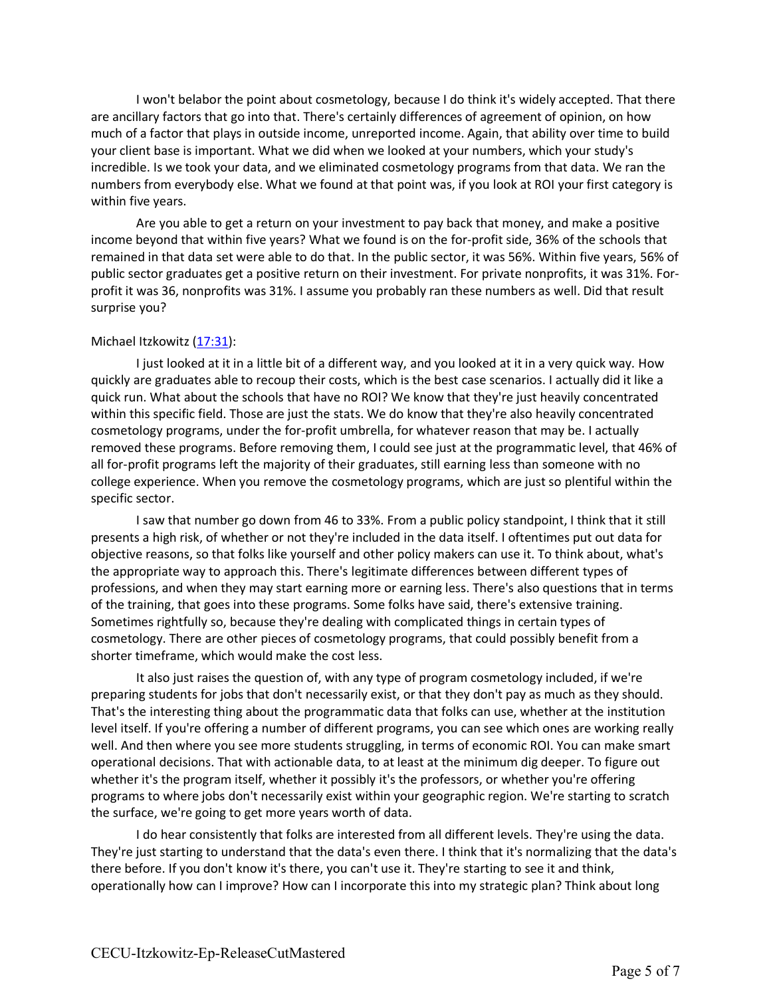I won't belabor the point about cosmetology, because I do think it's widely accepted. That there are ancillary factors that go into that. There's certainly differences of agreement of opinion, on how much of a factor that plays in outside income, unreported income. Again, that ability over time to build your client base is important. What we did when we looked at your numbers, which your study's incredible. Is we took your data, and we eliminated cosmetology programs from that data. We ran the numbers from everybody else. What we found at that point was, if you look at ROI your first category is within five years.

Are you able to get a return on your investment to pay back that money, and make a positive income beyond that within five years? What we found is on the for-profit side, 36% of the schools that remained in that data set were able to do that. In the public sector, it was 56%. Within five years, 56% of public sector graduates get a positive return on their investment. For private nonprofits, it was 31%. Forprofit it was 36, nonprofits was 31%. I assume you probably ran these numbers as well. Did that result surprise you?

## Michael Itzkowitz (17:31):

I just looked at it in a little bit of a different way, and you looked at it in a very quick way. How quickly are graduates able to recoup their costs, which is the best case scenarios. I actually did it like a quick run. What about the schools that have no ROI? We know that they're just heavily concentrated within this specific field. Those are just the stats. We do know that they're also heavily concentrated cosmetology programs, under the for-profit umbrella, for whatever reason that may be. I actually removed these programs. Before removing them, I could see just at the programmatic level, that 46% of all for-profit programs left the majority of their graduates, still earning less than someone with no college experience. When you remove the cosmetology programs, which are just so plentiful within the specific sector.

I saw that number go down from 46 to 33%. From a public policy standpoint, I think that it still presents a high risk, of whether or not they're included in the data itself. I oftentimes put out data for objective reasons, so that folks like yourself and other policy makers can use it. To think about, what's the appropriate way to approach this. There's legitimate differences between different types of professions, and when they may start earning more or earning less. There's also questions that in terms of the training, that goes into these programs. Some folks have said, there's extensive training. Sometimes rightfully so, because they're dealing with complicated things in certain types of cosmetology. There are other pieces of cosmetology programs, that could possibly benefit from a shorter timeframe, which would make the cost less.

It also just raises the question of, with any type of program cosmetology included, if we're preparing students for jobs that don't necessarily exist, or that they don't pay as much as they should. That's the interesting thing about the programmatic data that folks can use, whether at the institution level itself. If you're offering a number of different programs, you can see which ones are working really well. And then where you see more students struggling, in terms of economic ROI. You can make smart operational decisions. That with actionable data, to at least at the minimum dig deeper. To figure out whether it's the program itself, whether it possibly it's the professors, or whether you're offering programs to where jobs don't necessarily exist within your geographic region. We're starting to scratch the surface, we're going to get more years worth of data.

I do hear consistently that folks are interested from all different levels. They're using the data. They're just starting to understand that the data's even there. I think that it's normalizing that the data's there before. If you don't know it's there, you can't use it. They're starting to see it and think, operationally how can I improve? How can I incorporate this into my strategic plan? Think about long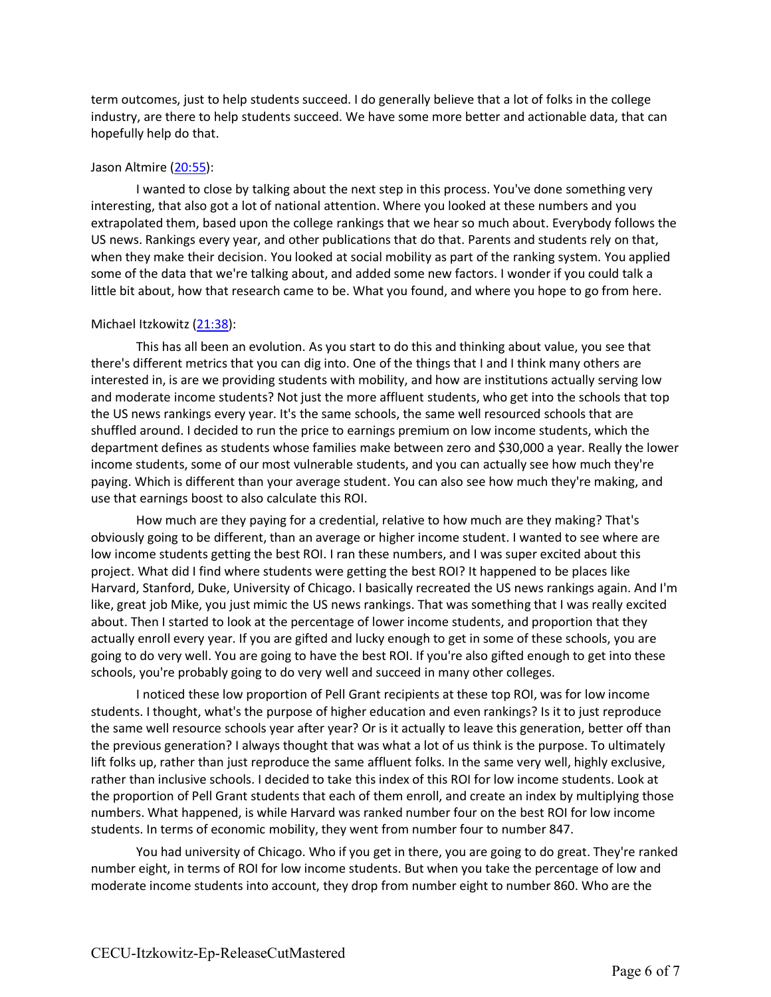term outcomes, just to help students succeed. I do generally believe that a lot of folks in the college industry, are there to help students succeed. We have some more better and actionable data, that can hopefully help do that.

### Jason Altmire (20:55):

I wanted to close by talking about the next step in this process. You've done something very interesting, that also got a lot of national attention. Where you looked at these numbers and you extrapolated them, based upon the college rankings that we hear so much about. Everybody follows the US news. Rankings every year, and other publications that do that. Parents and students rely on that, when they make their decision. You looked at social mobility as part of the ranking system. You applied some of the data that we're talking about, and added some new factors. I wonder if you could talk a little bit about, how that research came to be. What you found, and where you hope to go from here.

## Michael Itzkowitz (21:38):

This has all been an evolution. As you start to do this and thinking about value, you see that there's different metrics that you can dig into. One of the things that I and I think many others are interested in, is are we providing students with mobility, and how are institutions actually serving low and moderate income students? Not just the more affluent students, who get into the schools that top the US news rankings every year. It's the same schools, the same well resourced schools that are shuffled around. I decided to run the price to earnings premium on low income students, which the department defines as students whose families make between zero and \$30,000 a year. Really the lower income students, some of our most vulnerable students, and you can actually see how much they're paying. Which is different than your average student. You can also see how much they're making, and use that earnings boost to also calculate this ROI.

How much are they paying for a credential, relative to how much are they making? That's obviously going to be different, than an average or higher income student. I wanted to see where are low income students getting the best ROI. I ran these numbers, and I was super excited about this project. What did I find where students were getting the best ROI? It happened to be places like Harvard, Stanford, Duke, University of Chicago. I basically recreated the US news rankings again. And I'm like, great job Mike, you just mimic the US news rankings. That was something that I was really excited about. Then I started to look at the percentage of lower income students, and proportion that they actually enroll every year. If you are gifted and lucky enough to get in some of these schools, you are going to do very well. You are going to have the best ROI. If you're also gifted enough to get into these schools, you're probably going to do very well and succeed in many other colleges.

I noticed these low proportion of Pell Grant recipients at these top ROI, was for low income students. I thought, what's the purpose of higher education and even rankings? Is it to just reproduce the same well resource schools year after year? Or is it actually to leave this generation, better off than the previous generation? I always thought that was what a lot of us think is the purpose. To ultimately lift folks up, rather than just reproduce the same affluent folks. In the same very well, highly exclusive, rather than inclusive schools. I decided to take this index of this ROI for low income students. Look at the proportion of Pell Grant students that each of them enroll, and create an index by multiplying those numbers. What happened, is while Harvard was ranked number four on the best ROI for low income students. In terms of economic mobility, they went from number four to number 847.

You had university of Chicago. Who if you get in there, you are going to do great. They're ranked number eight, in terms of ROI for low income students. But when you take the percentage of low and moderate income students into account, they drop from number eight to number 860. Who are the